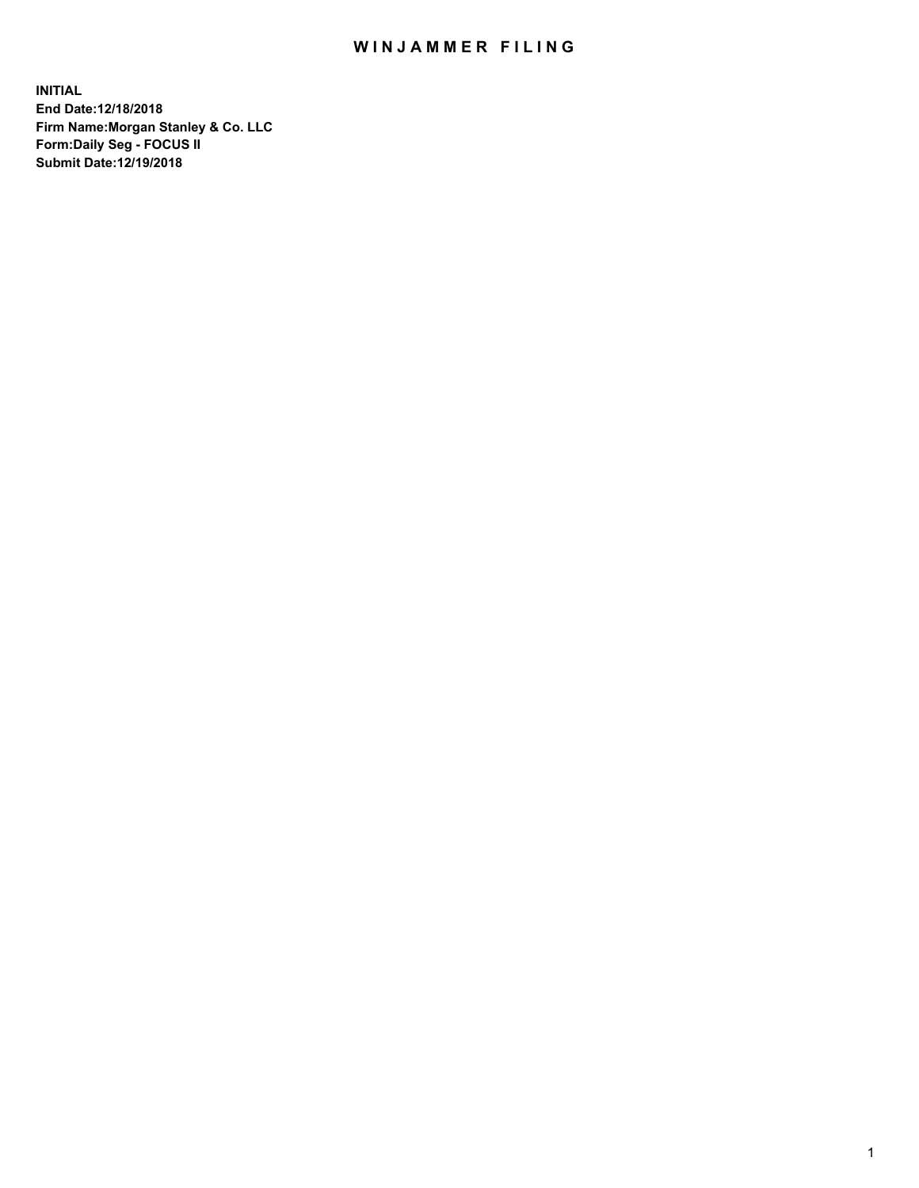## WIN JAMMER FILING

**INITIAL End Date:12/18/2018 Firm Name:Morgan Stanley & Co. LLC Form:Daily Seg - FOCUS II Submit Date:12/19/2018**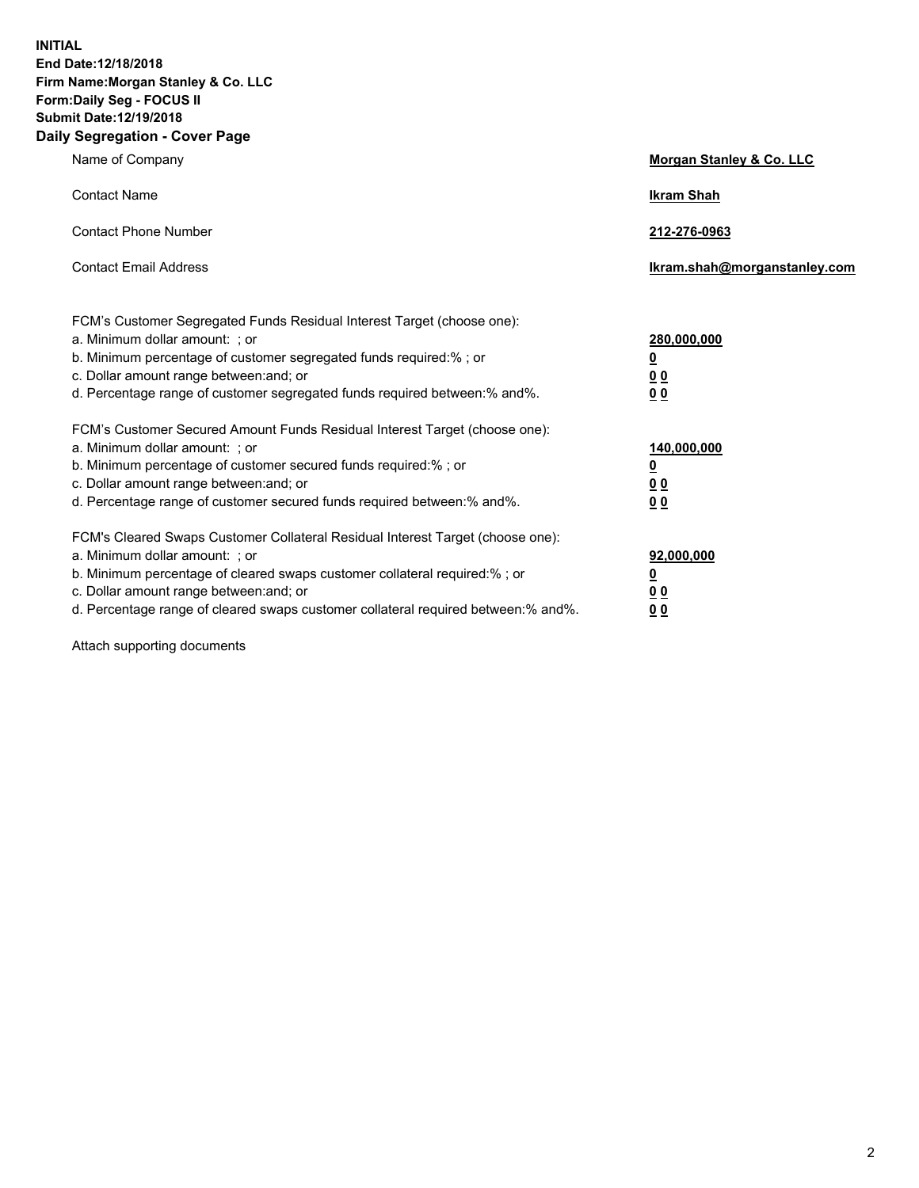**INITIAL End Date:12/18/2018 Firm Name:Morgan Stanley & Co. LLC Form:Daily Seg - FOCUS II Submit Date:12/19/2018 Daily Segregation - Cover Page**

| Name of Company                                                                                                                                                                                                                                                                                                               | Morgan Stanley & Co. LLC                                    |
|-------------------------------------------------------------------------------------------------------------------------------------------------------------------------------------------------------------------------------------------------------------------------------------------------------------------------------|-------------------------------------------------------------|
| <b>Contact Name</b>                                                                                                                                                                                                                                                                                                           | <b>Ikram Shah</b>                                           |
| <b>Contact Phone Number</b>                                                                                                                                                                                                                                                                                                   | 212-276-0963                                                |
| <b>Contact Email Address</b>                                                                                                                                                                                                                                                                                                  | Ikram.shah@morganstanley.com                                |
| FCM's Customer Segregated Funds Residual Interest Target (choose one):<br>a. Minimum dollar amount: ; or<br>b. Minimum percentage of customer segregated funds required:% ; or<br>c. Dollar amount range between: and; or<br>d. Percentage range of customer segregated funds required between:% and%.                        | 280,000,000<br><u>0</u><br><u>00</u><br>0 <sup>0</sup>      |
| FCM's Customer Secured Amount Funds Residual Interest Target (choose one):<br>a. Minimum dollar amount: ; or<br>b. Minimum percentage of customer secured funds required:%; or<br>c. Dollar amount range between: and; or<br>d. Percentage range of customer secured funds required between:% and%.                           | 140,000,000<br><u>0</u><br>0 <sub>0</sub><br>0 <sub>0</sub> |
| FCM's Cleared Swaps Customer Collateral Residual Interest Target (choose one):<br>a. Minimum dollar amount: ; or<br>b. Minimum percentage of cleared swaps customer collateral required:%; or<br>c. Dollar amount range between: and; or<br>d. Percentage range of cleared swaps customer collateral required between:% and%. | 92,000,000<br><u>0</u><br>0 Q<br>00                         |

Attach supporting documents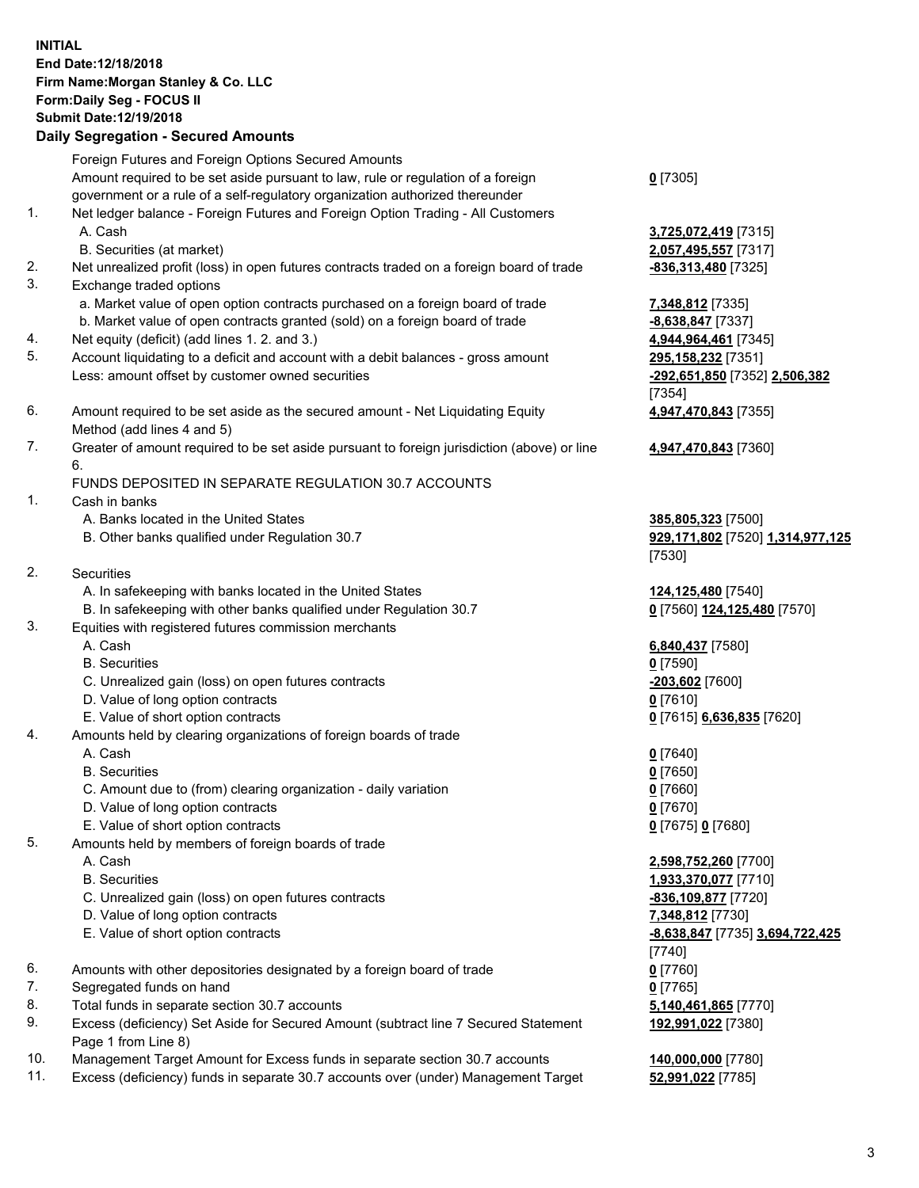## **INITIAL End Date:12/18/2018 Firm Name:Morgan Stanley & Co. LLC Form:Daily Seg - FOCUS II Submit Date:12/19/2018**

## **Daily Segregation - Secured Amounts**

Foreign Futures and Foreign Options Secured Amounts Amount required to be set aside pursuant to law, rule or regulation of a foreign government or a rule of a self-regulatory organization authorized thereunder

- 1. Net ledger balance Foreign Futures and Foreign Option Trading All Customers A. Cash **3,725,072,419** [7315]
	- B. Securities (at market) **2,057,495,557** [7317]
- 2. Net unrealized profit (loss) in open futures contracts traded on a foreign board of trade **-836,313,480** [7325]
- 3. Exchange traded options
	- a. Market value of open option contracts purchased on a foreign board of trade **7,348,812** [7335]
	- b. Market value of open contracts granted (sold) on a foreign board of trade **-8,638,847** [7337]
- 4. Net equity (deficit) (add lines 1. 2. and 3.) **4,944,964,461** [7345]
- 5. Account liquidating to a deficit and account with a debit balances gross amount **295,158,232** [7351] Less: amount offset by customer owned securities **-292,651,850** [7352] **2,506,382**
- 6. Amount required to be set aside as the secured amount Net Liquidating Equity Method (add lines 4 and 5)
- 7. Greater of amount required to be set aside pursuant to foreign jurisdiction (above) or line 6.

## FUNDS DEPOSITED IN SEPARATE REGULATION 30.7 ACCOUNTS

- 1. Cash in banks
	- A. Banks located in the United States **385,805,323** [7500]
	- B. Other banks qualified under Regulation 30.7 **929,171,802** [7520] **1,314,977,125**
- 2. Securities
	- A. In safekeeping with banks located in the United States **124,125,480** [7540]
	- B. In safekeeping with other banks qualified under Regulation 30.7 **0** [7560] **124,125,480** [7570]
- 3. Equities with registered futures commission merchants
	-
	- B. Securities **0** [7590]
	- C. Unrealized gain (loss) on open futures contracts **-203,602** [7600]
	- D. Value of long option contracts **0** [7610]
- E. Value of short option contracts **0** [7615] **6,636,835** [7620]
- 4. Amounts held by clearing organizations of foreign boards of trade
	- A. Cash **0** [7640]
	- B. Securities **0** [7650]
	- C. Amount due to (from) clearing organization daily variation **0** [7660]
	- D. Value of long option contracts **0** [7670]
	- E. Value of short option contracts **0** [7675] **0** [7680]
- 5. Amounts held by members of foreign boards of trade
	-
	-
	- C. Unrealized gain (loss) on open futures contracts **-836,109,877** [7720]
	- D. Value of long option contracts **7,348,812** [7730]
	- E. Value of short option contracts **-8,638,847** [7735] **3,694,722,425**
- 6. Amounts with other depositories designated by a foreign board of trade **0** [7760]
- 7. Segregated funds on hand **0** [7765]
- 8. Total funds in separate section 30.7 accounts **5,140,461,865** [7770]
- 9. Excess (deficiency) Set Aside for Secured Amount (subtract line 7 Secured Statement Page 1 from Line 8)
- 10. Management Target Amount for Excess funds in separate section 30.7 accounts **140,000,000** [7780]
- 11. Excess (deficiency) funds in separate 30.7 accounts over (under) Management Target **52,991,022** [7785]

**0** [7305]

[7354] **4,947,470,843** [7355]

**4,947,470,843** [7360]

[7530]

A. Cash **6,840,437** [7580]

 A. Cash **2,598,752,260** [7700] B. Securities **1,933,370,077** [7710] [7740] **192,991,022** [7380]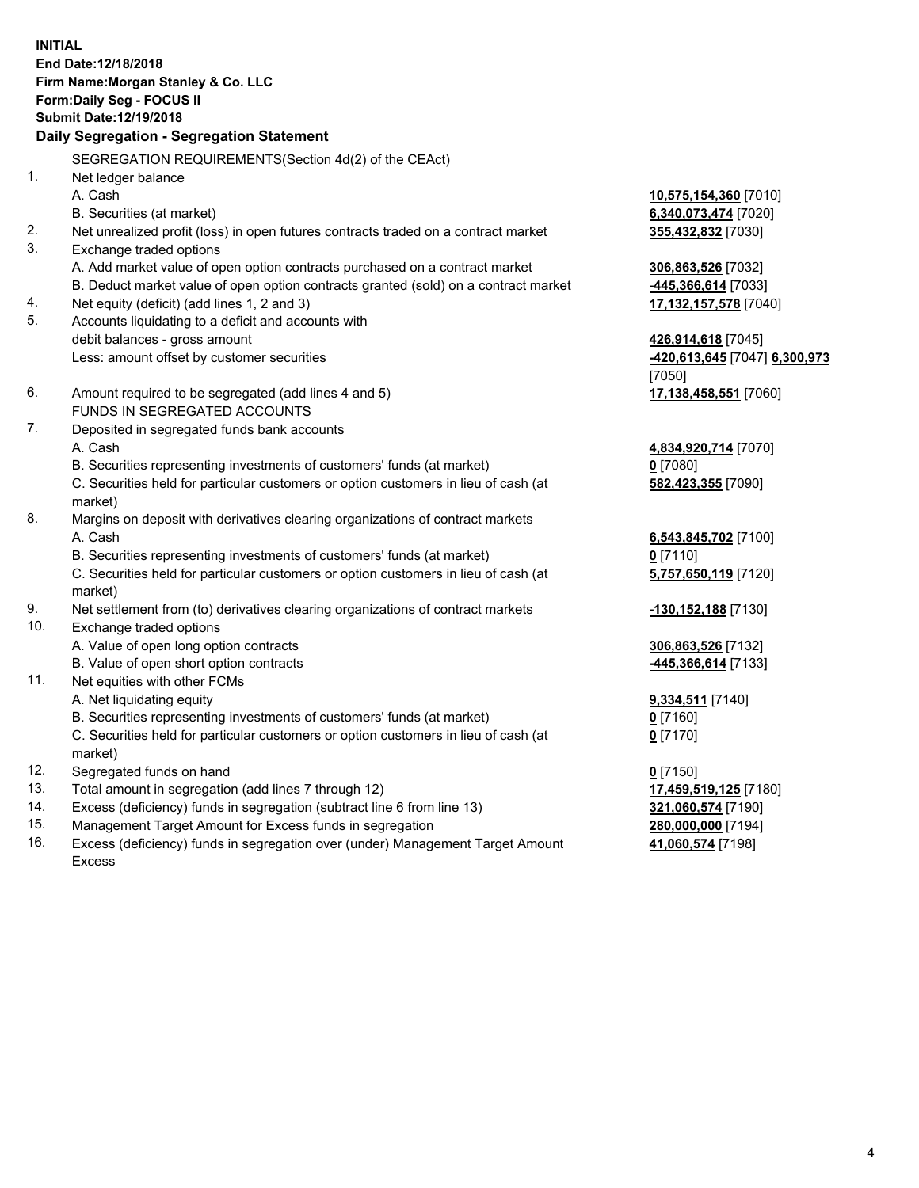**INITIAL End Date:12/18/2018 Firm Name:Morgan Stanley & Co. LLC Form:Daily Seg - FOCUS II Submit Date:12/19/2018 Daily Segregation - Segregation Statement** SEGREGATION REQUIREMENTS(Section 4d(2) of the CEAct) 1. Net ledger balance A. Cash **10,575,154,360** [7010] B. Securities (at market) **6,340,073,474** [7020] 2. Net unrealized profit (loss) in open futures contracts traded on a contract market **355,432,832** [7030] 3. Exchange traded options A. Add market value of open option contracts purchased on a contract market **306,863,526** [7032] B. Deduct market value of open option contracts granted (sold) on a contract market **-445,366,614** [7033] 4. Net equity (deficit) (add lines 1, 2 and 3) **17,132,157,578** [7040] 5. Accounts liquidating to a deficit and accounts with debit balances - gross amount **426,914,618** [7045] Less: amount offset by customer securities **-420,613,645** [7047] **6,300,973** [7050] 6. Amount required to be segregated (add lines 4 and 5) **17,138,458,551** [7060] FUNDS IN SEGREGATED ACCOUNTS 7. Deposited in segregated funds bank accounts A. Cash **4,834,920,714** [7070] B. Securities representing investments of customers' funds (at market) **0** [7080] C. Securities held for particular customers or option customers in lieu of cash (at market) **582,423,355** [7090] 8. Margins on deposit with derivatives clearing organizations of contract markets A. Cash **6,543,845,702** [7100] B. Securities representing investments of customers' funds (at market) **0** [7110] C. Securities held for particular customers or option customers in lieu of cash (at market) **5,757,650,119** [7120] 9. Net settlement from (to) derivatives clearing organizations of contract markets **-130,152,188** [7130] 10. Exchange traded options A. Value of open long option contracts **306,863,526** [7132] B. Value of open short option contracts **-445,366,614** [7133] 11. Net equities with other FCMs A. Net liquidating equity **9,334,511** [7140] B. Securities representing investments of customers' funds (at market) **0** [7160] C. Securities held for particular customers or option customers in lieu of cash (at market) **0** [7170] 12. Segregated funds on hand **0** [7150] 13. Total amount in segregation (add lines 7 through 12) **17,459,519,125** [7180] 14. Excess (deficiency) funds in segregation (subtract line 6 from line 13) **321,060,574** [7190]

- 15. Management Target Amount for Excess funds in segregation **280,000,000** [7194]
- 16. Excess (deficiency) funds in segregation over (under) Management Target Amount Excess

**41,060,574** [7198]